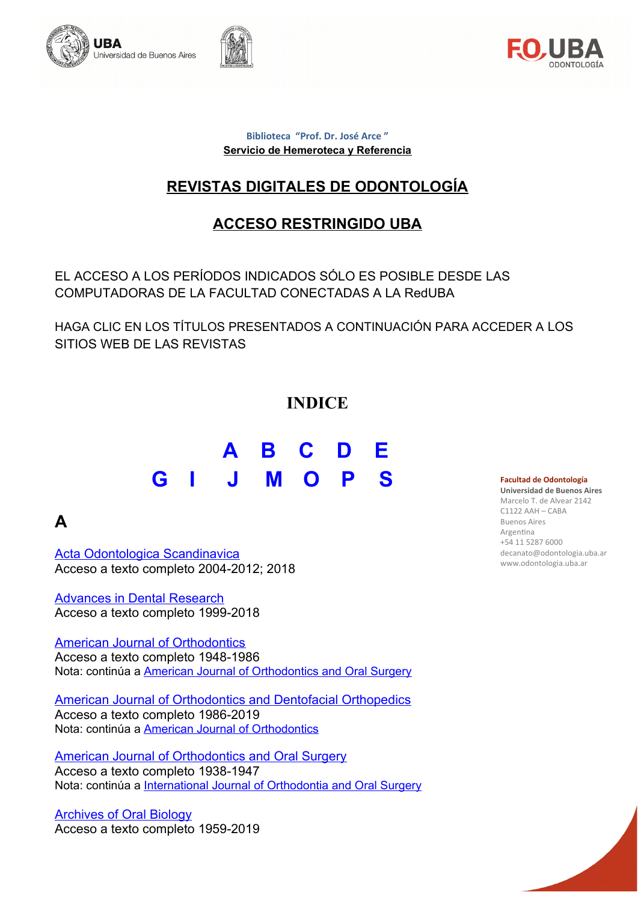





#### **Biblioteca "Prof. Dr. José Arce " Servicio de Hemeroteca y Referencia**

# **REVISTAS DIGITALES DE ODONTOLOGÍA**

### **ACCESO RESTRINGIDO UBA**

EL ACCESO A LOS PERÍODOS INDICADOS SÓLO ES POSIBLE DESDE LAS COMPUTADORAS DE LA FACULTAD CONECTADAS A LA RedUBA

HAGA CLIC EN LOS TÍTULOS PRESENTADOS A CONTINUACIÓN PARA ACCEDER A LOS SITIOS WEB DE LAS REVISTAS

### **INDICE**

# **[A](#page-0-0) [B](#page-1-1) [C](#page-1-0) [D](#page-2-3) [E](#page-2-2) [G](#page-2-1) [I](#page-2-0) [J](#page-3-0) [M](#page-5-1) [O](#page-5-0) [P](#page-6-1) [S](#page-6-0)**

### <span id="page-0-0"></span>**A**

[Acta Odontologica Scandinavica](http://ejournals.ebsco.com/journal2.asp?journalid=102095) Acceso a texto completo 2004-2012; 2018

[Advances in Dental Research](http://adr.sagepub.com/) Acceso a texto completo 1999-2018

[American Journal of Orthodontics](http://www.sciencedirect.com/science/journal/00029416) Acceso a texto completo 1948-1986 Nota: continúa a [American Journal of Orthodontics and Oral Surgery](http://www.sciencedirect.com/science/journal/00966347)

[American Journal of Orthodontics and Dentofacial Orthopedics](http://www.sciencedirect.com/science/journal/08895406) Acceso a texto completo 1986-2019 Nota: continúa a [American Journal of Orthodontics](http://www.sciencedirect.com/science/journal/00029416)

[American Journal of Orthodontics and Oral Surgery](http://www.sciencedirect.com/science/journal/00966347) Acceso a texto completo 1938-1947 Nota: continúa a [International Journal of Orthodontia and Oral Surgery](http://www.sciencedirect.com/science/journal/10723498)

[Archives of Oral Biology](https://www.sciencedirect.com/journal/archives-of-oral-biology) Acceso a texto completo 1959-2019

#### **Facultad de Odontología**

**Universidad de Buenos Aires** Marcelo T. de Alvear 2142 C1122 AAH – CABA Buenos Aires Argentina +54 11 5287 6000 decanato@odontologia.uba.ar www.odontologia.uba.ar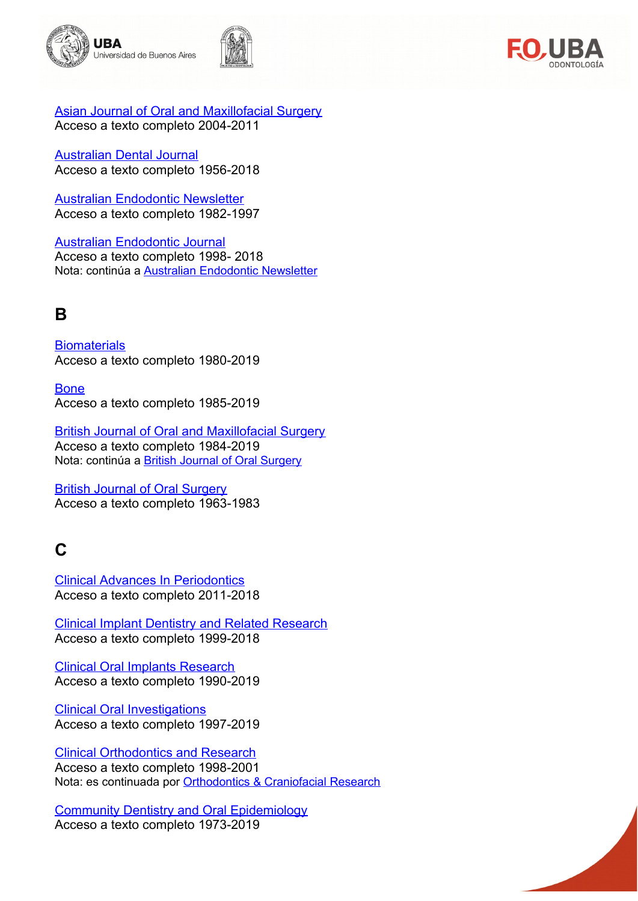





[Asian Journal of Oral and Maxillofacial Surgery](http://www.sciencedirect.com/science/journal/09156992) Acceso a texto completo 2004-2011

[Australian Dental Journal](http://onlinelibrary.wiley.com/journal/10.1111/(ISSN)1834-7819) Acceso a texto completo 1956-2018

[Australian Endodontic Newsletter](http://onlinelibrary.wiley.com/journal/10.1111/(ISSN)1747-4477) Acceso a texto completo 1982-1997

[Australian Endodontic Journal](http://onlinelibrary.wiley.com/journal/10.1111/(ISSN)1747-4477) Acceso a texto completo 1998- 2018 Nota: continúa a [Australian Endodontic Newsletter](http://onlinelibrary.wiley.com/journal/10.1111/(ISSN)1747-4477)

## <span id="page-1-1"></span>**B**

**[Biomaterials](http://www.sciencedirect.com/science/journal/01429612?oldURL=y)** Acceso a texto completo 1980-2019

**[Bone](http://www.sciencedirect.com/science/journal/87563282)** Acceso a texto completo 1985-2019

[British Journal of Oral and Maxillofacial Surgery](http://www.sciencedirect.com/science/journal/02664356) Acceso a texto completo 1984-2019 Nota: continúa a **British Journal of Oral Surgery** 

[British Journal of Oral Surgery](http://www.sciencedirect.com/science/journal/0007117X) Acceso a texto completo 1963-1983

# <span id="page-1-0"></span>**C**

[Clinical Advances In Periodontics](http://www.joponline.org/loi/cap) Acceso a texto completo 2011-2018

[Clinical Implant Dentistry and Related Research](http://onlinelibrary.wiley.com/journal/10.1111/(ISSN)1708-8208) Acceso a texto completo 1999-2018

[Clinical Oral Implants Research](http://onlinelibrary.wiley.com/journal/10.1111/(ISSN)1600-0501) Acceso a texto completo 1990-2019

[Clinical Oral Investigations](http://link.springer.com/journal/volumesAndIssues/784) Acceso a texto completo 1997-2019

[Clinical Orthodontics and Research](http://onlinelibrary.wiley.com/journal/10.1111/(ISSN)1601-6343/issues) Acceso a texto completo 1998-2001 Nota: es continuada por [Orthodontics & Craniofacial Research](http://onlinelibrary.wiley.com/journal/10.1111/(ISSN)1601-6343/issues)

[Community Dentistry and Oral Epidemiology](http://onlinelibrary.wiley.com/journal/10.1111/(ISSN)1600-0528) Acceso a texto completo 1973-2019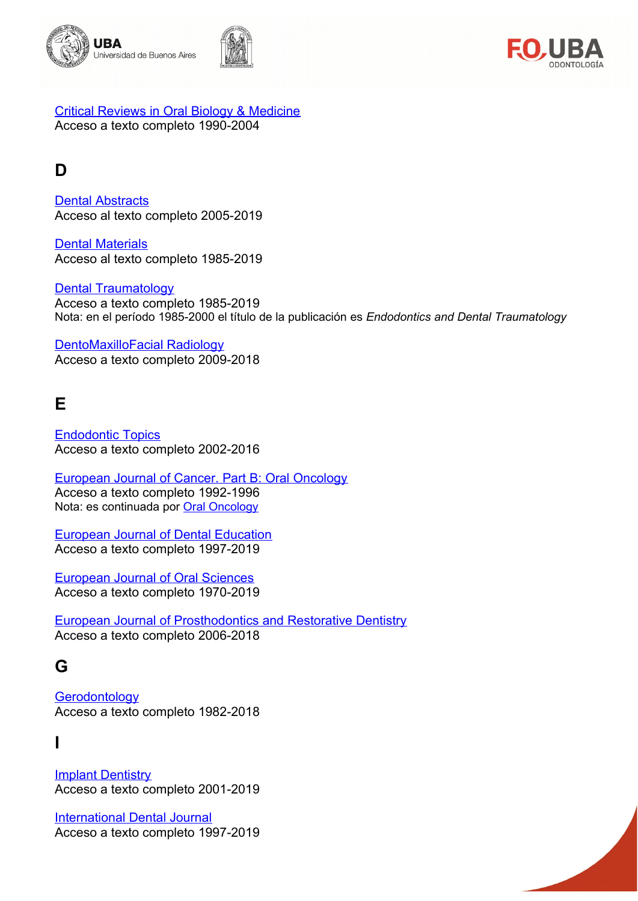





[Critical Reviews in Oral Biology & Medicine](http://cro.sagepub.com/) Acceso a texto completo 1990-2004

### <span id="page-2-3"></span>**D**

[Dental Abstracts](http://www.sciencedirect.com/science/journal/00118486) Acceso al texto completo 2005-2019

**[Dental Materials](http://www.sciencedirect.com/science/journal/01095641?sdc=1)** Acceso al texto completo 1985-2019

[Dental Traumatology](http://onlinelibrary.wiley.com/journal/10.1111/(ISSN)1600-9657) Acceso a texto completo 1985-2019 Nota: en el período 1985-2000 el título de la publicación es *Endodontics and Dental Traumatology*

[DentoMaxilloFacial Radiology](http://www.birpublications.org/loi/dmfr) Acceso a texto completo 2009-2018

### <span id="page-2-2"></span>**E**

[Endodontic Topics](http://onlinelibrary.wiley.com/journal/10.1111/(ISSN)1601-1546) Acceso a texto completo 2002-2016

[European Journal of Cancer. Part B: Oral Oncology](https://www.sciencedirect.com/journal/european-journal-of-cancer-part-b-oral-oncology) Acceso a texto completo 1992-1996 Nota: es continuada por **Oral Oncology** 

[European Journal of Dental Education](http://onlinelibrary.wiley.com/journal/10.1111/(ISSN)1600-0579/issues) Acceso a texto completo 1997-2019

[European Journal of Oral Sciences](http://onlinelibrary.wiley.com/journal/10.1111/(ISSN)1600-0722/issues) Acceso a texto completo 1970-2019

[European Journal of Prosthodontics and Restorative Dentistry](http://www.ejprd.org/) Acceso a texto completo 2006-2018

### <span id="page-2-1"></span>**G**

**[Gerodontology](http://onlinelibrary.wiley.com/journal/10.1111/(ISSN)1741-2358)** Acceso a texto completo 1982-2018

### <span id="page-2-0"></span>**I**

**[Implant Dentistry](http://ovidsp.ovid.com/ovidweb.cgi?T=JS&CSC=Y&NEWS=N&PAGE=toc&SEARCH=00008505-201608000-00000.kc&LINKTYPE=asBody&LINKPOS=1&D=yrovft)** Acceso a texto completo 2001-2019

[International Dental Journal](http://onlinelibrary.wiley.com/journal/10.1002/(ISSN)1875-595X/issues) Acceso a texto completo 1997-2019

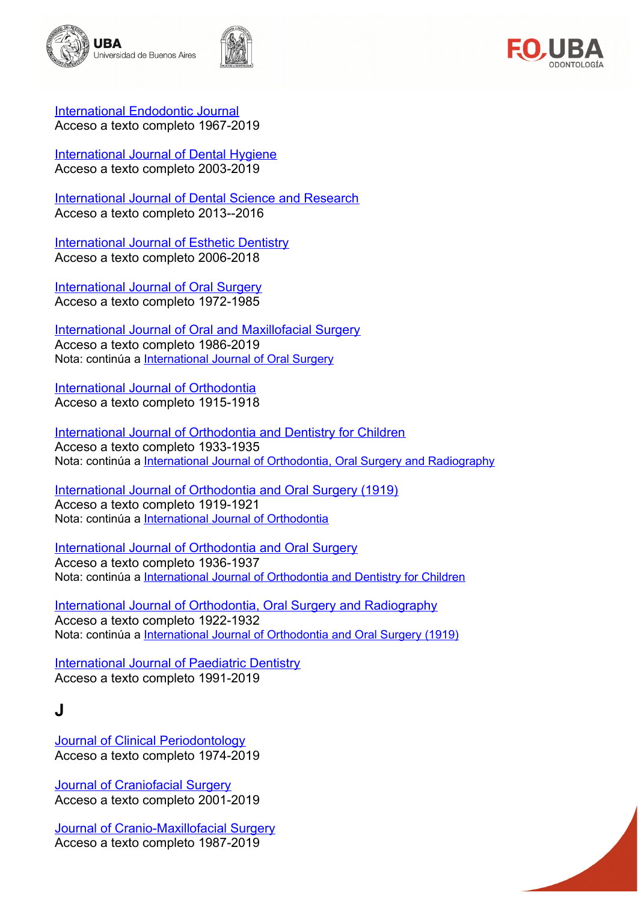





[International Endodontic Journal](http://onlinelibrary.wiley.com/journal/10.1111/(ISSN)1365-2591) Acceso a texto completo 1967-2019

[International Journal of Dental Hygiene](http://onlinelibrary.wiley.com/journal/10.1111/(ISSN)1601-5037) Acceso a texto completo 2003-2019

[International Journal of Dental Science and Research](http://www.sciencedirect.com/science/journal/22139974) Acceso a texto completo 2013--2016

[International Journal of Esthetic Dentistry](http://www.quintpub.com/journals/ejed/gp.php?journal_name=EJED&name_abbr=EJED) Acceso a texto completo 2006-2018

[International Journal of Oral Surgery](http://www.sciencedirect.com/science/journal/03009785) Acceso a texto completo 1972-1985

[International Journal of Oral and Maxillofacial Surgery](https://www.sciencedirect.com/journal/international-journal-of-oral-and-maxillofacial-surgery) Acceso a texto completo 1986-2019 Nota: continúa a [International Journal of Oral Surgery](http://www.sciencedirect.com/science/journal/03009785)

[International Journal of Orthodontia](http://www.sciencedirect.com/science/journal/10723471) Acceso a texto completo 1915-1918

[International Journal of Orthodontia and Dentistry for Children](http://www.sciencedirect.com/science/journal/00970522) Acceso a texto completo 1933-1935 Nota: continúa a [International Journal of Orthodontia, Oral Surgery and Radiography](http://www.sciencedirect.com/science/journal/00996963)

[International Journal of Orthodontia and Oral Surgery \(1919\)](http://www.sciencedirect.com/science/journal/1072348X) Acceso a texto completo 1919-1921 Nota: continúa a [International Journal of Orthodontia](http://www.sciencedirect.com/science/journal/10723471)

[International Journal of Orthodontia and Oral Surgery](http://www.sciencedirect.com/science/journal/10723498) Acceso a texto completo 1936-1937 Nota: continúa a [International Journal of Orthodontia and Dentistry for Children](http://www.sciencedirect.com/science/journal/00970522)

[International Journal of Orthodontia, Oral Surgery and Radiography](http://www.sciencedirect.com/science/journal/00996963) Acceso a texto completo 1922-1932 Nota: continúa a [International Journal of Orthodontia and Oral Surgery \(1919\)](http://www.sciencedirect.com/science/journal/1072348X)

[International Journal of Paediatric Dentistry](http://onlinelibrary.wiley.com/journal/10.1111/(ISSN)1365-263X) Acceso a texto completo 1991-2019

### <span id="page-3-0"></span>**J**

[Journal of Clinical Periodontology](http://onlinelibrary.wiley.com/journal/10.1111/(ISSN)1600-051X) Acceso a texto completo 1974-2019

[Journal of Craniofacial Surgery](http://ovidsp.ovid.com/ovidweb.cgi?T=JS&CSC=Y&NEWS=N&PAGE=toc&SEARCH=00001665-201607000-00000.kc&LINKTYPE=asBody&LINKPOS=1&D=yrovft) Acceso a texto completo 2001-2019

[Journal of Cranio-Maxillofacial Surgery](https://www.sciencedirect.com/journal/journal-of-cranio-maxillofacial-surgery) Acceso a texto completo 1987-2019

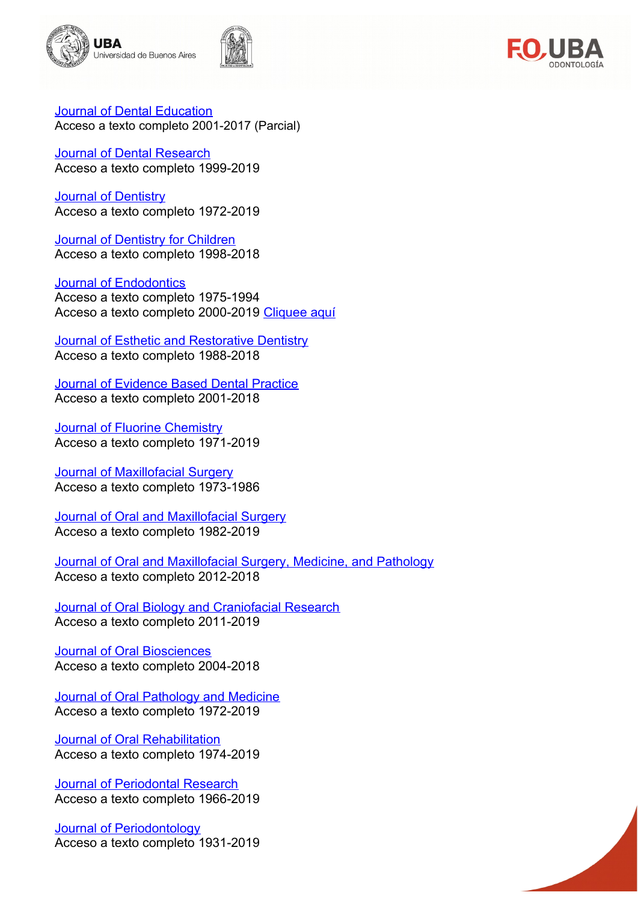





[Journal of Dental Education](http://www.jdentaled.org/content/by/year) Acceso a texto completo 2001-2017 (Parcial)

[Journal of Dental Research](http://jdr.sagepub.com/archive/) Acceso a texto completo 1999-2019

**[Journal of Dentistry](https://www.sciencedirect.com/journal/journal-of-dentistry)** Acceso a texto completo 1972-2019

[Journal of Dentistry for Children](http://www.ingentaconnect.com/content/aapd/jodc) Acceso a texto completo 1998-2018

#### **[Journal of Endodontics](http://www.sciencedirect.com/science/journal/00992399)**

Acceso a texto completo 1975-1994 Acceso a texto completo 2000-2019 [Cliquee aquí](http://gateway.ovid.com/ovidweb.cgi?T=JS&MODE=ovid&NEWS=n&PAGE=toc&D=ovft&AN=00004770-000000000-00000)

[Journal of Esthetic and Restorative Dentistry](http://onlinelibrary.wiley.com/journal/10.1111/(ISSN)1708-8240) Acceso a texto completo 1988-2018

[Journal of Evidence Based Dental Practice](http://www.sciencedirect.com/science/journal/15323382) Acceso a texto completo 2001-2018

[Journal of Fluorine Chemistry](https://www.sciencedirect.com/journal/journal-of-fluorine-chemistry) Acceso a texto completo 1971-2019

**[Journal of Maxillofacial Surgery](https://www.sciencedirect.com/journal/journal-of-maxillofacial-surgery)** Acceso a texto completo 1973-1986

[Journal of Oral and Maxillofacial Surgery](https://www.sciencedirect.com/journal/journal-of-oral-and-maxillofacial-surgery) Acceso a texto completo 1982-2019

[Journal of Oral and Maxillofacial Surgery, Medicine, and Pathology](http://www.sciencedirect.com/science/journal/22125558) Acceso a texto completo 2012-2018

[Journal of Oral Biology and Craniofacial Research](http://www.sciencedirect.com/science/journal/22124268) Acceso a texto completo 2011-2019

[Journal of Oral Biosciences](http://www.sciencedirect.com/science/journal/13490079/58) Acceso a texto completo 2004-2018

**[Journal of Oral Pathology and Medicine](http://onlinelibrary.wiley.com/journal/10.1111/(ISSN)1600-0714/issues)** Acceso a texto completo 1972-2019

[Journal of Oral Rehabilitation](http://onlinelibrary.wiley.com/journal/10.1111/(ISSN)1365-2842) Acceso a texto completo 1974-2019

**[Journal of Periodontal Research](http://onlinelibrary.wiley.com/journal/10.1111/(ISSN)1600-0765)** Acceso a texto completo 1966-2019

[Journal of Periodontology](http://www.joponline.org/loi/jop) Acceso a texto completo 1931-2019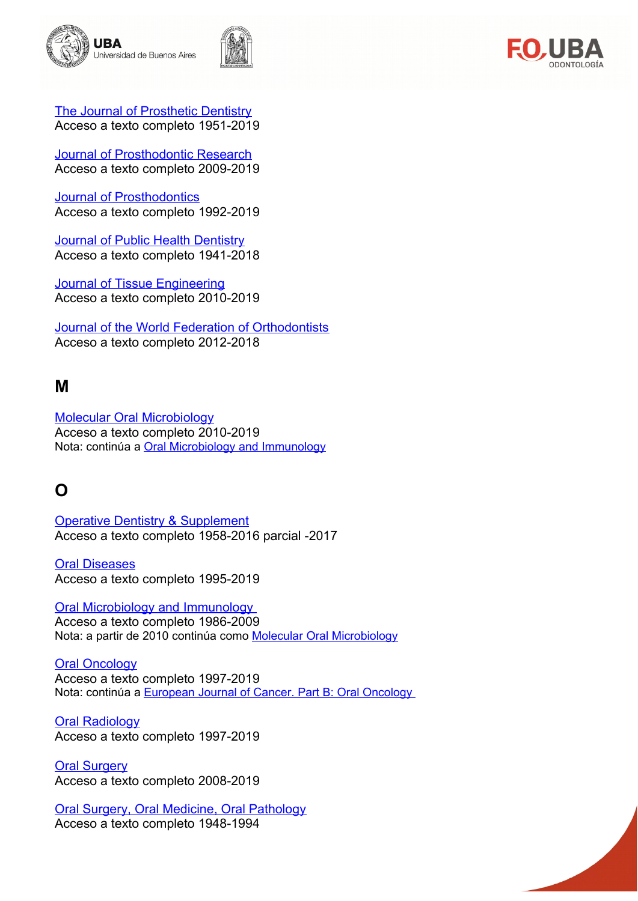



[The Journal of Prosthetic Dentistry](http://www.sciencedirect.com/science/journal/00223913?oldURL=y) Acceso a texto completo 1951-2019

**[Journal of Prosthodontic Research](http://www.sciencedirect.com/science/journal/18831958)** Acceso a texto completo 2009-2019

[Journal of Prosthodontics](http://onlinelibrary.wiley.com/journal/10.1111/(ISSN)1532-849X) Acceso a texto completo 1992-2019

[Journal of Public Health Dentistry](http://onlinelibrary.wiley.com/journal/10.1111/(ISSN)1752-7325) Acceso a texto completo 1941-2018

**[Journal of Tissue Engineering](http://tej.sagepub.com/)** Acceso a texto completo 2010-2019

[Journal of the World Federation of Orthodontists](http://www.sciencedirect.com/science/journal/22124438) Acceso a texto completo 2012-2018

### <span id="page-5-1"></span>**M**

[Molecular Oral Microbiology](http://onlinelibrary.wiley.com/journal/10.1111/(ISSN)2041-1014) Acceso a texto completo 2010-2019 Nota: continúa a **Oral Microbiology and Immunology** 

### <span id="page-5-0"></span>**O**

[Operative Dentistry & Supplement](https://www.jopdentonline.org/loi/odnt) Acceso a texto completo 1958-2016 parcial -2017

[Oral Diseases](http://onlinelibrary.wiley.com/journal/10.1111/(ISSN)1601-0825) Acceso a texto completo 1995-2019

 [Oral Microbiology and Immunology](http://onlinelibrary.wiley.com/journal/10.1111/(ISSN)2041-1014)

Acceso a texto completo 1986-2009 Nota: a partir de 2010 continúa como [Molecular Oral Microbiology](http://onlinelibrary.wiley.com/journal/10.1111/(ISSN)2041-1014)

**[Oral Oncology](https://www.sciencedirect.com/journal/oral-oncology)** Acceso a texto completo 1997-2019 Nota: continúa a [European Journal of Cancer. Part B: Oral Oncology](https://www.sciencedirect.com/journal/european-journal-of-cancer-part-b-oral-oncology)

**[Oral Radiology](https://link.springer.com/journal/11282)** Acceso a texto completo 1997-2019

**[Oral Surgery](http://onlinelibrary.wiley.com/journal/10.1111/(ISSN)1752-248X/issues)** Acceso a texto completo 2008-2019

[Oral Surgery, Oral Medicine, Oral Pathology](http://www.sciencedirect.com/science/journal/00304220) Acceso a texto completo 1948-1994